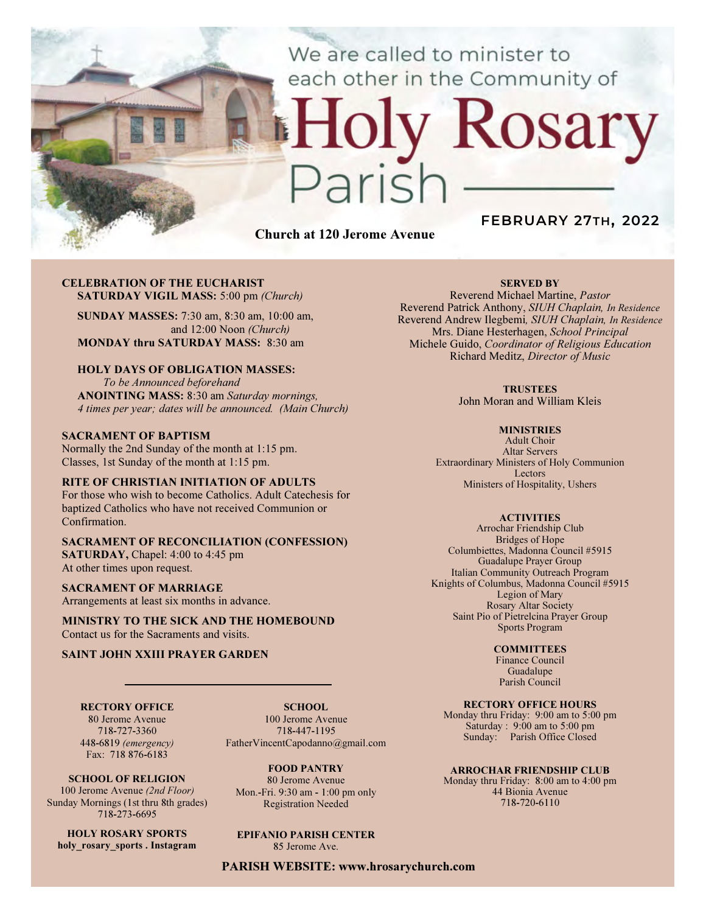We are called to minister to each other in the Community of

# Rosary ark

Church at 120 Jerome Avenue

## FEBRUARY 27TH, 2022

#### CELEBRATION OF THE EUCHARIST SATURDAY VIGIL MASS: 5:00 pm (Church)

SUNDAY MASSES: 7:30 am, 8:30 am, 10:00 am, and 12:00 Noon (Church) MONDAY thru SATURDAY MASS: 8:30 am

## HOLY DAYS OF OBLIGATION MASSES:

To be Announced beforehand ANOINTING MASS: 8:30 am Saturday mornings, 4 times per year; dates will be announced. (Main Church)

#### SACRAMENT OF BAPTISM

Normally the 2nd Sunday of the month at 1:15 pm. Classes, 1st Sunday of the month at 1:15 pm.

#### RITE OF CHRISTIAN INITIATION OF ADULTS

For those who wish to become Catholics. Adult Catechesis for baptized Catholics who have not received Communion or Confirmation.

#### SACRAMENT OF RECONCILIATION (CONFESSION) SATURDAY, Chapel: 4:00 to 4:45 pm At other times upon request.

SACRAMENT OF MARRIAGE

Arrangements at least six months in advance.

MINISTRY TO THE SICK AND THE HOMEBOUND Contact us for the Sacraments and visits.

#### SAINT JOHN XXIII PRAYER GARDEN

RECTORY OFFICE 80 Jerome Avenue 718-727-3360

SCHOOL. 100 Jerome Avenue 718-447-1195 FatherVincentCapodanno@gmail.com

448-6819 (emergency) Fax: 718 876-6183 SCHOOL OF RELIGION 100 Jerome Avenue (2nd Floor)

Sunday Mornings (1st thru 8th grades) 718-273-6695

HOLY ROSARY SPORTS holy rosary sports . Instagram

FOOD PANTRY 80 Jerome Avenue Mon.-Fri. 9:30 am - 1:00 pm only Registration Needed

## EPIFANIO PARISH CENTER

85 Jerome Ave.

PARISH WEBSITE: www.hrosarychurch.com

#### SERVED BY

Reverend Michael Martine, Pastor Reverend Patrick Anthony, SIUH Chaplain, In Residence Reverend Andrew Ilegbemi, SIUH Chaplain, In Residence Mrs. Diane Hesterhagen, School Principal Michele Guido, Coordinator of Religious Education Richard Meditz, Director of Music

#### **TRUSTEES**

John Moran and William Kleis

#### **MINISTRIES**

Adult Choir Altar Servers Extraordinary Ministers of Holy Communion Lectors Ministers of Hospitality, Ushers

#### **ACTIVITIES**

Arrochar Friendship Club Bridges of Hope Columbiettes, Madonna Council #5915 Guadalupe Prayer Group Italian Community Outreach Program Knights of Columbus, Madonna Council #5915 Legion of Mary Rosary Altar Society Saint Pio of Pietrelcina Prayer Group Sports Program

#### **COMMITTEES**

Finance Council Guadalupe Parish Council

#### RECTORY OFFICE HOURS

Monday thru Friday: 9:00 am to 5:00 pm Saturday : 9:00 am to 5:00 pm Sunday: Parish Office Closed

#### ARROCHAR FRIENDSHIP CLUB

Monday thru Friday: 8:00 am to 4:00 pm 44 Bionia Avenue 718-720-6110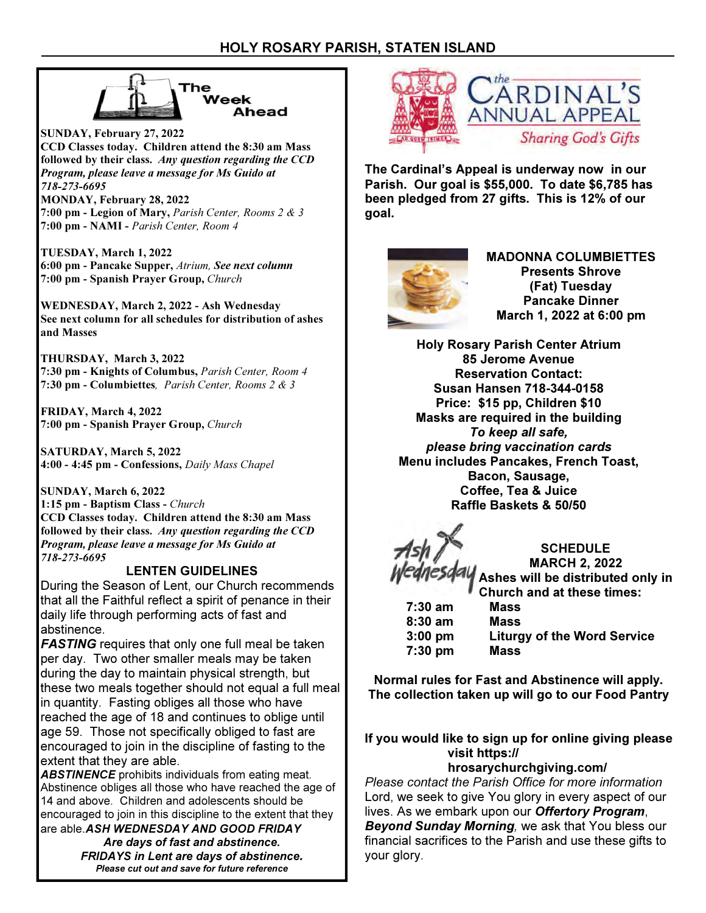

SUNDAY, February 27, 2022 CCD Classes today. Children attend the 8:30 am Mass followed by their class. Any question regarding the CCD Program, please leave a message for Ms Guido at 718-273-6695

MONDAY, February 28, 2022 7:00 pm - Legion of Mary, Parish Center, Rooms 2 & 3 7:00 pm - NAMI - Parish Center, Room 4

TUESDAY, March 1, 2022 6:00 pm - Pancake Supper, Atrium, See next column 7:00 pm - Spanish Prayer Group, Church

WEDNESDAY, March 2, 2022 - Ash Wednesday See next column for all schedules for distribution of ashes and Masses

THURSDAY, March 3, 2022 7:30 pm - Knights of Columbus, Parish Center, Room 4 7:30 pm - Columbiettes, Parish Center, Rooms 2 & 3

FRIDAY, March 4, 2022 7:00 pm - Spanish Prayer Group, Church

SATURDAY, March 5, 2022 4:00 - 4:45 pm - Confessions, Daily Mass Chapel

SUNDAY, March 6, 2022 1:15 pm - Baptism Class - Church CCD Classes today. Children attend the 8:30 am Mass followed by their class. Any question regarding the CCD Program, please leave a message for Ms Guido at 718-273-6695

## LENTEN GUIDELINES

During the Season of Lent, our Church recommends that all the Faithful reflect a spirit of penance in their daily life through performing acts of fast and abstinence.

**FASTING** requires that only one full meal be taken per day. Two other smaller meals may be taken during the day to maintain physical strength, but these two meals together should not equal a full meal in quantity. Fasting obliges all those who have reached the age of 18 and continues to oblige until age 59. Those not specifically obliged to fast are encouraged to join in the discipline of fasting to the extent that they are able.

ABSTINENCE prohibits individuals from eating meat. Abstinence obliges all those who have reached the age of 14 and above. Children and adolescents should be encouraged to join in this discipline to the extent that they are able. ASH WEDNESDAY AND GOOD FRIDAY

Are days of fast and abstinence. FRIDAYS in Lent are days of abstinence. Please cut out and save for future reference



The Cardinal's Appeal is underway now in our Parish. Our goal is \$55,000. To date \$6,785 has been pledged from 27 gifts. This is 12% of our goal.



MADONNA COLUMBIETTES Presents Shrove (Fat) Tuesday Pancake Dinner March 1, 2022 at 6:00 pm

Holy Rosary Parish Center Atrium 85 Jerome Avenue Reservation Contact: Susan Hansen 718-344-0158 Price: \$15 pp, Children \$10 Masks are required in the building To keep all safe, please bring vaccination cards Menu includes Pancakes, French Toast, Bacon, Sausage, Coffee, Tea & Juice Raffle Baskets & 50/50

**SCHEDULE** MARCH 2, 2022 Ashes will be distributed only in Church and at these times:

 7:30 am Mass 8:30 am Mass 7:30 pm Mass

3:00 pm Liturgy of the Word Service

Normal rules for Fast and Abstinence will apply. The collection taken up will go to our Food Pantry

If you would like to sign up for online giving please visit https:// hrosarychurchgiving.com/

Please contact the Parish Office for more information Lord, we seek to give You glory in every aspect of our lives. As we embark upon our Offertory Program, Beyond Sunday Morning, we ask that You bless our financial sacrifices to the Parish and use these gifts to your glory.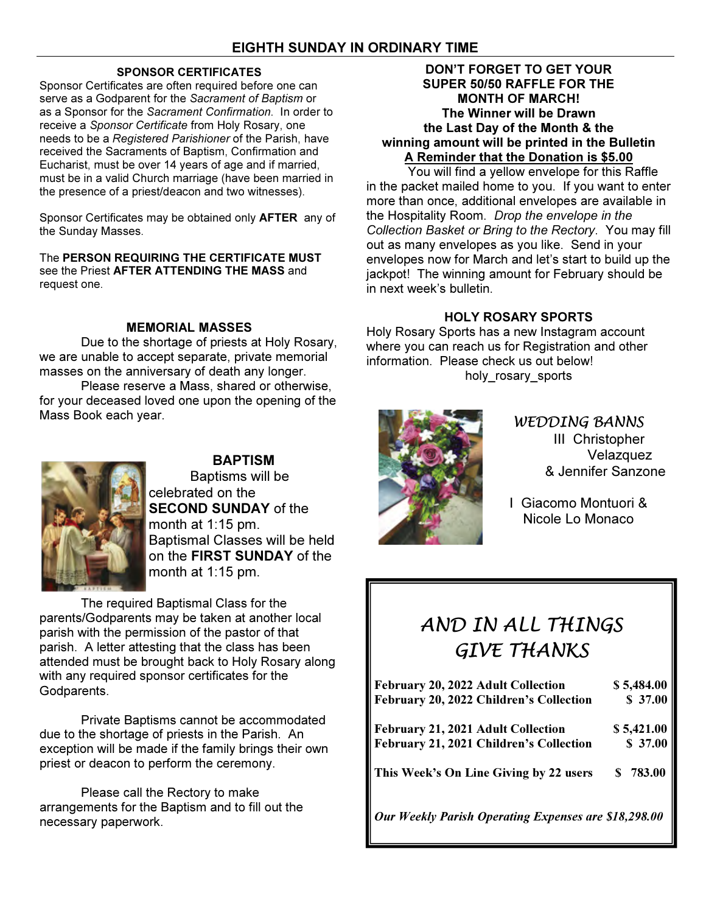## SPONSOR CERTIFICATES

Sponsor Certificates are often required before one can serve as a Godparent for the Sacrament of Baptism or as a Sponsor for the Sacrament Confirmation. In order to receive a Sponsor Certificate from Holy Rosary, one needs to be a Registered Parishioner of the Parish, have received the Sacraments of Baptism, Confirmation and Eucharist, must be over 14 years of age and if married, must be in a valid Church marriage (have been married in the presence of a priest/deacon and two witnesses).

Sponsor Certificates may be obtained only **AFTER** any of the Sunday Masses.

The PERSON REQUIRING THE CERTIFICATE MUST see the Priest AFTER ATTENDING THE MASS and request one.

## MEMORIAL MASSES

 Due to the shortage of priests at Holy Rosary, we are unable to accept separate, private memorial masses on the anniversary of death any longer.

 Please reserve a Mass, shared or otherwise, for your deceased loved one upon the opening of the Mass Book each year.



## **BAPTISM**

Baptisms will be celebrated on the **SECOND SUNDAY of the** month at 1:15 pm. Baptismal Classes will be held on the FIRST SUNDAY of the month at 1:15 pm.

The required Baptismal Class for the parents/Godparents may be taken at another local parish with the permission of the pastor of that parish. A letter attesting that the class has been attended must be brought back to Holy Rosary along with any required sponsor certificates for the Godparents.

 Private Baptisms cannot be accommodated due to the shortage of priests in the Parish. An exception will be made if the family brings their own priest or deacon to perform the ceremony.

 Please call the Rectory to make arrangements for the Baptism and to fill out the necessary paperwork.

## DON'T FORGET TO GET YOUR SUPER 50/50 RAFFLE FOR THE MONTH OF MARCH! The Winner will be Drawn the Last Day of the Month & the winning amount will be printed in the Bulletin A Reminder that the Donation is \$5.00

 You will find a yellow envelope for this Raffle in the packet mailed home to you. If you want to enter more than once, additional envelopes are available in the Hospitality Room. Drop the envelope in the Collection Basket or Bring to the Rectory. You may fill out as many envelopes as you like. Send in your envelopes now for March and let's start to build up the jackpot! The winning amount for February should be in next week's bulletin.

## HOLY ROSARY SPORTS

Holy Rosary Sports has a new Instagram account where you can reach us for Registration and other information. Please check us out below! holy rosary sports



WEDDING BANNS III Christopher Velazquez & Jennifer Sanzone

I Giacomo Montuori & Nicole Lo Monaco

## AND IN ALL THINGS GIVE THANKS

| February 20, 2022 Adult Collection                   | \$5,484.00 |
|------------------------------------------------------|------------|
| February 20, 2022 Children's Collection              | \$37.00    |
| February 21, 2021 Adult Collection                   | \$5,421.00 |
| February 21, 2021 Children's Collection              | \$37.00    |
| This Week's On Line Giving by 22 users               | \$783.00   |
| Our Weekly Parish Operating Expenses are \$18,298.00 |            |